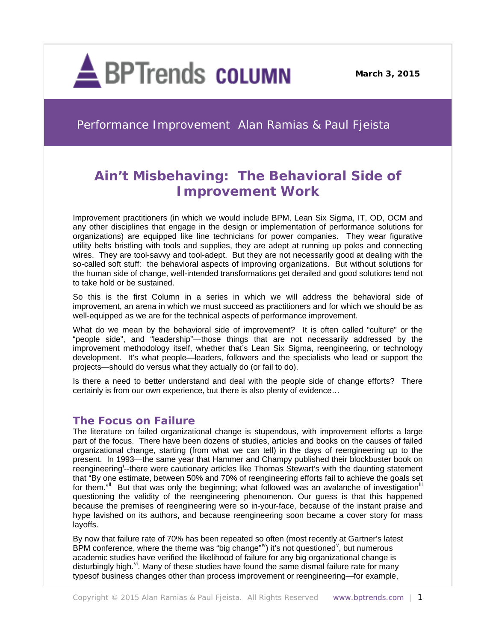

**March 3, 2015**

Performance Improvement Alan Ramias & Paul Fjeista

# **Ain't Misbehaving: The Behavioral Side of Improvement Work**

Improvement practitioners (in which we would include BPM, Lean Six Sigma, IT, OD, OCM and any other disciplines that engage in the design or implementation of performance solutions for organizations) are equipped like line technicians for power companies. They wear figurative utility belts bristling with tools and supplies, they are adept at running up poles and connecting wires. They are tool-savvy and tool-adept. But they are not necessarily good at dealing with the so-called soft stuff: the behavioral aspects of improving organizations. But without solutions for the human side of change, well-intended transformations get derailed and good solutions tend not to take hold or be sustained.

So this is the first Column in a series in which we will address the behavioral side of improvement, an arena in which we must succeed as practitioners and for which we should be as well-equipped as we are for the technical aspects of performance improvement.

What do we mean by the behavioral side of improvement? It is often called "culture" or the "people side", and "leadership"—those things that are not necessarily addressed by the improvement methodology itself, whether that's Lean Six Sigma, reengineering, or technology development. It's what people—leaders, followers and the specialists who lead or support the projects—should do versus what they actually do (or fail to do).

Is there a need to better understand and deal with the people side of change efforts? There certainly is from our own experience, but there is also plenty of evidence…

# **The Focus on Failure**

The literature on failed organizational change is stupendous, with improvement efforts a large part of the focus. There have been dozens of studies, articles and books on the causes of failed organizational change, starting (from what we can tell) in the days of reengineering up to the present. In 1993—the same year that Hammer and Champy published their blockbuster book on reeng[i](#page-3-0)neering<sup>i</sup>--there were cautionary articles like Thomas Stewart's with the daunting statement that "By one estimate, between 50% and 70% of reengineering efforts fail to achieve the goals set for them."<sup>[ii](#page-3-1)</sup> But that was only the beginning; what followed was an avalanche of investigation<sup>[iii](#page-3-2)</sup> questioning the validity of the reengineering phenomenon. Our guess is that this happened because the premises of reengineering were so in-your-face, because of the instant praise and hype lavished on its authors, and because reengineering soon became a cover story for mass layoffs.

By now that failure rate of 70% has been repeated so often (most recently at Gartner's latest BPM conference, where the theme was "big change" $\dot{v}$  $\dot{v}$  $\dot{v}$ ) it's not questioned<sup>v</sup>, but numerous academic studies have verified the likelihood of failure for any big organizational change is disturbingly high. $\mu$ . Many of these studies have found the same dismal failure rate for many typesof business changes other than process improvement or reengineering—for example,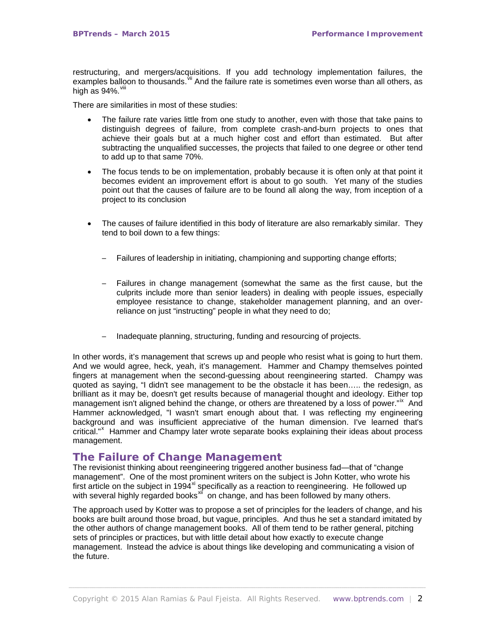restructuring, and mergers/acquisitions. If you add technology implementation failures, the examples balloon to thousands. Vii And the failure rate is sometimes even worse than all others, as high as  $94\%$ .  $V$ iii

There are similarities in most of these studies:

- The failure rate varies little from one study to another, even with those that take pains to distinguish degrees of failure, from complete crash-and-burn projects to ones that achieve their goals but at a much higher cost and effort than estimated. But after subtracting the unqualified successes, the projects that failed to one degree or other tend to add up to that same 70%.
- The focus tends to be on implementation, probably because it is often only at that point it becomes evident an improvement effort is about to go south. Yet many of the studies point out that the causes of failure are to be found all along the way, from inception of a project to its conclusion
- The causes of failure identified in this body of literature are also remarkably similar. They tend to boil down to a few things:
	- Failures of leadership in initiating, championing and supporting change efforts;
	- ─ Failures in change management (somewhat the same as the first cause, but the culprits include more than senior leaders) in dealing with people issues, especially employee resistance to change, stakeholder management planning, and an overreliance on just "instructing" people in what they need to do;
	- $-$  Inadequate planning, structuring, funding and resourcing of projects.

In other words, it's management that screws up and people who resist what is going to hurt them. And we would agree, heck, yeah, it's management. Hammer and Champy themselves pointed fingers at management when the second-guessing about reengineering started. Champy was quoted as saying, "I didn't see management to be the obstacle it has been….. the redesign, as brilliant as it may be, doesn't get results because of managerial thought and ideology. Either top management isn't aligned behind the change, or others are threatened by a loss of power."<sup>[ix](#page-4-2)</sup> And Hammer acknowledged, "I wasn't smart enough about that. I was reflecting my engineering background and was insufficient appreciative of the human dimension. I've learned that's critical."<sup>[x](#page-4-3)</sup> Hammer and Champy later wrote separate books explaining their ideas about process management.

## **The Failure of Change Management**

The revisionist thinking about reengineering triggered another business fad—that of "change management". One of the most prominent writers on the subject is John Kotter, who wrote his first article on the subject in 1994 $x$ <sup>i</sup> specifically as a reaction to reengineering. He followed up with several highly regarded books<sup>[xii](#page-4-5)</sup> on change, and has been followed by many others.

The approach used by Kotter was to propose a set of principles for the leaders of change, and his books are built around those broad, but vague, principles. And thus he set a standard imitated by the other authors of change management books. All of them tend to be rather general, pitching sets of principles or practices, but with little detail about how exactly to execute change management. Instead the advice is about things like developing and communicating a vision of the future.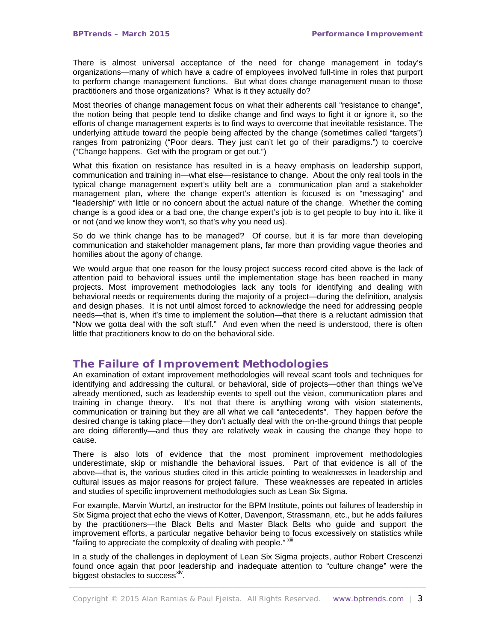There is almost universal acceptance of the need for change management in today's organizations—many of which have a cadre of employees involved full-time in roles that purport to perform change management functions. But what does change management mean to those practitioners and those organizations? What is it they actually do?

Most theories of change management focus on what their adherents call "resistance to change", the notion being that people tend to dislike change and find ways to fight it or ignore it, so the efforts of change management experts is to find ways to overcome that inevitable resistance. The underlying attitude toward the people being affected by the change (sometimes called "targets") ranges from patronizing ("Poor dears. They just can't let go of their paradigms.") to coercive ("Change happens. Get with the program or get out.")

What this fixation on resistance has resulted in is a heavy emphasis on leadership support, communication and training in—what else—resistance to change. About the only real tools in the typical change management expert's utility belt are a communication plan and a stakeholder management plan, where the change expert's attention is focused is on "messaging" and "leadership" with little or no concern about the actual nature of the change. Whether the coming change is a good idea or a bad one, the change expert's job is to get people to buy into it, like it or not (and we know they won't, so that's why you need us).

So do we think change has to be managed? Of course, but it is far more than developing communication and stakeholder management plans, far more than providing vague theories and homilies about the agony of change.

We would argue that one reason for the lousy project success record cited above is the lack of attention paid to behavioral issues until the implementation stage has been reached in many projects. Most improvement methodologies lack any tools for identifying and dealing with behavioral needs or requirements during the majority of a project—during the definition, analysis and design phases. It is not until almost forced to acknowledge the need for addressing people needs—that is, when it's time to implement the solution—that there is a reluctant admission that "Now we gotta deal with the soft stuff." And even when the need is understood, there is often little that practitioners know to do on the behavioral side.

## **The Failure of Improvement Methodologies**

An examination of extant improvement methodologies will reveal scant tools and techniques for identifying and addressing the cultural, or behavioral, side of projects—other than things we've already mentioned, such as leadership events to spell out the vision, communication plans and training in change theory. It's not that there is anything wrong with vision statements, communication or training but they are all what we call "antecedents". They happen *before* the desired change is taking place—they don't actually deal with the on-the-ground things that people are doing differently—and thus they are relatively weak in causing the change they hope to cause.

There is also lots of evidence that the most prominent improvement methodologies underestimate, skip or mishandle the behavioral issues. Part of that evidence is all of the above—that is, the various studies cited in this article pointing to weaknesses in leadership and cultural issues as major reasons for project failure. These weaknesses are repeated in articles and studies of specific improvement methodologies such as Lean Six Sigma.

For example, Marvin Wurtzl, an instructor for the BPM Institute, points out failures of leadership in Six Sigma project that echo the views of Kotter, Davenport, Strassmann, etc., but he adds failures by the practitioners—the Black Belts and Master Black Belts who guide and support the improvement efforts, a particular negative behavior being to focus excessively on statistics while "failing to appreciate the complexity of dealing with people." xili

In a study of the challenges in deployment of Lean Six Sigma projects, author Robert Crescenzi found once again that poor leadership and inadequate attention to "culture change" were the biggest obstacles to success<sup>[xiv](#page-4-7)</sup>.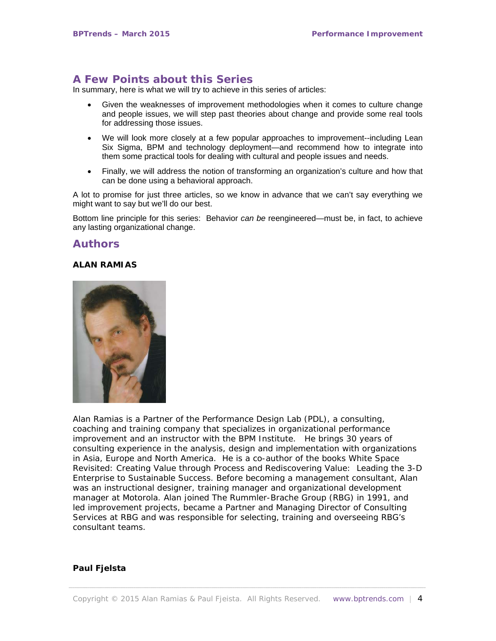# **A Few Points about this Series**

<span id="page-3-4"></span><span id="page-3-3"></span>In summary, here is what we will try to achieve in this series of articles:

- Given the weaknesses of improvement methodologies when it comes to culture change and people issues, we will step past theories about change and provide some real tools for addressing those issues.
- <span id="page-3-5"></span>• We will look more closely at a few popular approaches to improvement--including Lean Six Sigma, BPM and technology deployment—and recommend how to integrate into them some practical tools for dealing with cultural and people issues and needs.
- Finally, we will address the notion of transforming an organization's culture and how that can be done using a behavioral approach.

A lot to promise for just three articles, so we know in advance that we can't say everything we might want to say but we'll do our best.

Bottom line principle for this series: Behavior *can be* reengineered—must be, in fact, to achieve any lasting organizational change.

## **Authors**

#### **ALAN RAMIAS**

<span id="page-3-0"></span>

<span id="page-3-2"></span><span id="page-3-1"></span>Alan Ramias is a Partner of the Performance Design Lab (PDL), a consulting, coaching and training company that specializes in organizational performance improvement and an instructor with the BPM Institute. He brings 30 years of consulting experience in the analysis, design and implementation with organizations in Asia, Europe and North America. He is a co-author of the books *White Space Revisited: Creating Value through Process* and *Rediscovering Value: Leading the 3-D Enterprise to Sustainable Success.* Before becoming a management consultant, Alan was an instructional designer, training manager and organizational development manager at Motorola. Alan joined The Rummler-Brache Group (RBG) in 1991, and led improvement projects, became a Partner and Managing Director of Consulting Services at RBG and was responsible for selecting, training and overseeing RBG's consultant teams.

### **Paul Fjelsta**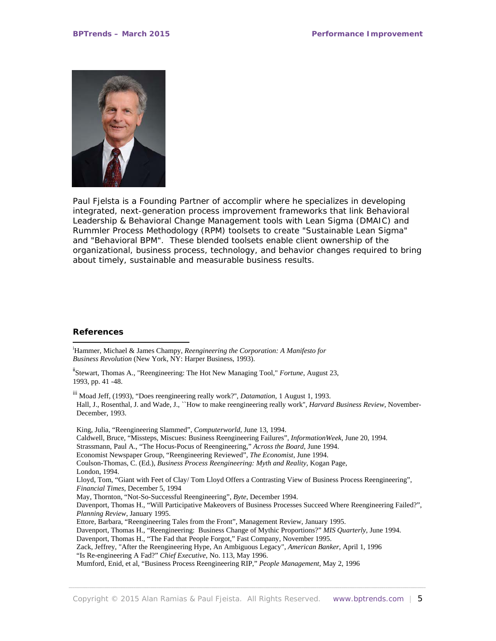

Paul Fjelsta is a Founding Partner of accomplir where he specializes in developing integrated, next-generation process improvement frameworks that link Behavioral Leadership & Behavioral Change Management tools with Lean Sigma (DMAIC) and Rummler Process Methodology (RPM) toolsets to create "Sustainable Lean Sigma" and "Behavioral BPM". These blended toolsets enable client ownership of the organizational, business process, technology, and behavior changes required to bring about timely, sustainable and measurable business results.

#### **References**

l

i Hammer, Michael & James Champy, *Reengineering the Corporation: A Manifesto for Business Revolution* (New York, NY: Harper Business, 1993).

<sup>ii</sup>Stewart, Thomas A., "Reengineering: The Hot New Managing Tool," *Fortune*, August 23, 1993, pp. 41 -48.

iii Moad Jeff, (1993), "Does reengineering really work?'', *Datamation*, 1 August 1, 1993. Hall, J., Rosenthal, J. and Wade, J., ``How to make reengineering really work'', *Harvard Business Review*, November-December, 1993.

<span id="page-4-7"></span><span id="page-4-6"></span><span id="page-4-5"></span><span id="page-4-4"></span><span id="page-4-3"></span><span id="page-4-2"></span><span id="page-4-1"></span><span id="page-4-0"></span>King, Julia, "Reengineering Slammed", *Computerworld*, June 13, 1994. Caldwell, Bruce, "Missteps, Miscues: Business Reengineering Failures", *InformationWeek*, June 20, 1994. Strassmann, Paul A., "The Hocus-Pocus of Reengineering," *Across the Board*, June 1994. Economist Newspaper Group, "Reengineering Reviewed", *The Economist*, June 1994. Coulson-Thomas, C. (Ed.), *Business Process Reengineering: Myth and Reality*, Kogan Page, London, 1994. Lloyd, Tom, "Giant with Feet of Clay/ Tom Lloyd Offers a Contrasting View of Business Process Reengineering", *Financial Times*, December 5, 1994 May, Thornton, "Not-So-Successful Reengineering", *Byte*, December 1994. Davenport, Thomas H., "Will Participative Makeovers of Business Processes Succeed Where Reengineering Failed?", *Planning Review*, January 1995. Ettore, Barbara, "Reengineering Tales from the Front", Management Review, January 1995. Davenport, Thomas H., "Reengineering: Business Change of Mythic Proportions?" *MIS Quarterly*, June 1994. Davenport, Thomas H., "The Fad that People Forgot," Fast Company, November 1995. Zack, Jeffrey, "After the Reengineering Hype, An Ambiguous Legacy", *American Banker*, April 1, 1996 "Is Re-engineering A Fad?" *Chief Executive*, No. 113, May 1996. Mumford, Enid, et al, "Business Process Reengineering RIP," *People Management*, May 2, 1996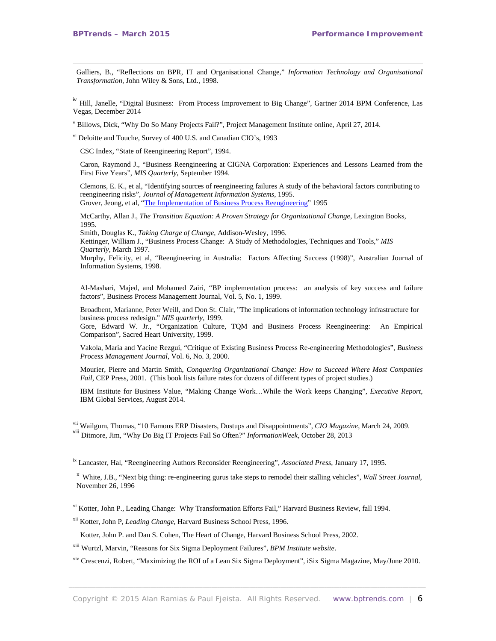-

Galliers, B., "Reflections on BPR, IT and Organisational Change," *Information Technology and Organisational Transformation*, John Wiley & Sons, Ltd., 1998.

<sup>iv</sup> Hill, Janelle, "Digital Business: From Process Improvement to Big Change", Gartner 2014 BPM Conference, Las Vegas, December 2014

<sup>v</sup> Billows, Dick, "Why Do So Many Projects Fail?", Project Management Institute online, April 27, 2014.

vi Deloitte and Touche, Survey of 400 U.S. and Canadian CIO's, 1993

CSC Index, "State of Reengineering Report", 1994.

Caron, Raymond J., "Business Reengineering at CIGNA Corporation: Experiences and Lessons Learned from the First Five Years", *MIS Quarterly*, September 1994.

Clemons, E. K., et al, "Identifying sources of reengineering failures A study of the behavioral factors contributing to reengineering risks", *Journal of Management Information Systems*, 1995. Grover, Jeong, et al, "The [Implementation](http://citeseerx.ist.psu.edu/showciting;jsessionid=A7BFA11014FAA684A39432B03DA53EF3?cid=248586) of Business Process Reengineering" 1995

McCarthy, Allan J., *The Transition Equation: A Proven Strategy for Organizational Change*, Lexington Books, 1995.

Smith, Douglas K., *Taking Charge of Change*, Addison-Wesley, 1996.

Kettinger, William J., "Business Process Change: A Study of Methodologies, Techniques and Tools," *MIS Quarterly*, March 1997.

Murphy, Felicity, et al, "Reengineering in Australia: Factors Affecting Success (1998)", Australian Journal of Information Systems, 1998.

Al-Mashari, Majed, and Mohamed Zairi, "BP implementation process: an analysis of key success and failure factors", Business Process Management Journal, Vol. 5, No. 1, 1999.

Broadbent, Marianne, Peter Weill, and Don St. Clair, ["The implications of information technology infrastructure for](http://bebas.ui.ac.id/v06/Kuliah/Seminar-MIS/2006/146/146-10-BPR.pdf)  [business process redesign."](http://bebas.ui.ac.id/v06/Kuliah/Seminar-MIS/2006/146/146-10-BPR.pdf) *MIS quarterly,* 1999.

Gore, Edward W. Jr., "Organization Culture, TQM and Business Process Reengineering: An Empirical Comparison", Sacred Heart University, 1999.

Vakola, Maria and Yacine Rezgui, "Critique of Existing Business Process Re-engineering Methodologies", *Business Process Management Journal*, Vol. 6, No. 3, 2000.

Mourier, Pierre and Martin Smith, *Conquering Organizational Change: How to Succeed Where Most Companies Fail*, CEP Press, 2001. (This book lists failure rates for dozens of different types of project studies.)

IBM Institute for Business Value, "Making Change Work…While the Work keeps Changing", *Executive Report*, IBM Global Services, August 2014.

vii Wailgum, Thomas, "10 Famous ERP Disasters, Dustups and Disappointments", *CIO Magazine*, March 24, 2009. viii Ditmore, Jim, "Why Do Big IT Projects Fail So Often?" *InformationWeek*, October 28, 2013

ix Lancaster, Hal, "Reengineering Authors Reconsider Reengineering", *Associated Press*, January 17, 1995.

<sup>x</sup> White, J.B., "Next big thing: re-engineering gurus take steps to remodel their stalling vehicles", *Wall Street Journal*, November 26, 1996

xi Kotter, John P., Leading Change: Why Transformation Efforts Fail," Harvard Business Review, fall 1994.

xii Kotter, John P, *Leading Change*, Harvard Business School Press, 1996.

Kotter, John P. and Dan S. Cohen, The Heart of Change, Harvard Business School Press, 2002.

xiii Wurtzl, Marvin, "Reasons for Six Sigma Deployment Failures", *BPM Institute website*.

xiv Crescenzi, Robert, "Maximizing the ROI of a Lean Six Sigma Deployment", iSix Sigma Magazine, May/June 2010.